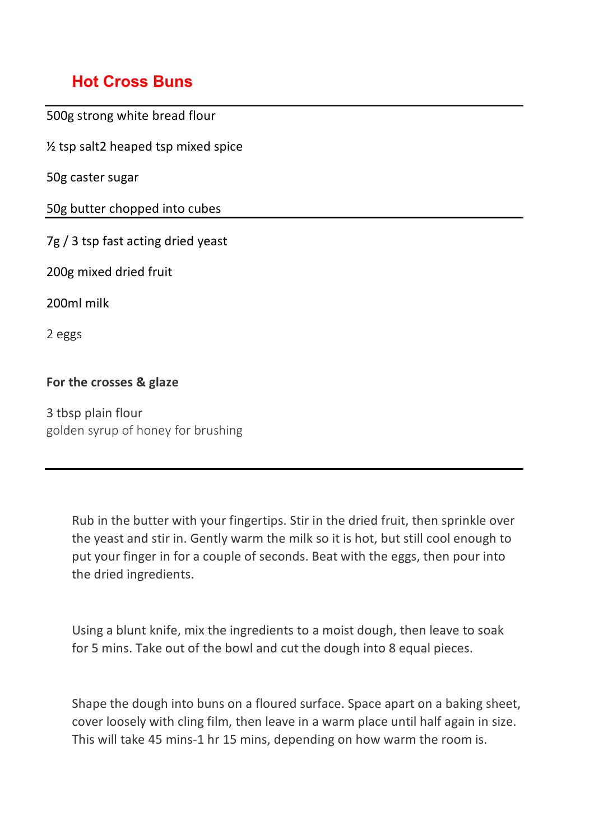## **Hot Cross Buns**

500g strong white bread flour ½ tsp salt2 heaped tsp mixed spice 50g caster sugar 50g butter chopped into cubes 7g / 3 tsp fast acting dried yeast 200g mixed dried fruit 200ml milk 2 eggs

## **For the crosses & glaze**

3 tbsp plain flour golden syrup of honey for brushing

> Rub in the butter with your fingertips. Stir in the dried fruit, then sprinkle over the yeast and stir in. Gently warm the milk so it is hot, but still cool enough to put your finger in for a couple of seconds. Beat with the eggs, then pour into the dried ingredients.

Using a blunt knife, mix the ingredients to a moist dough, then leave to soak for 5 mins. Take out of the bowl and cut the dough into 8 equal pieces.

Shape the dough into buns on a floured surface. Space apart on a baking sheet, cover loosely with cling film, then leave in a warm place until half again in size. This will take 45 mins-1 hr 15 mins, depending on how warm the room is.